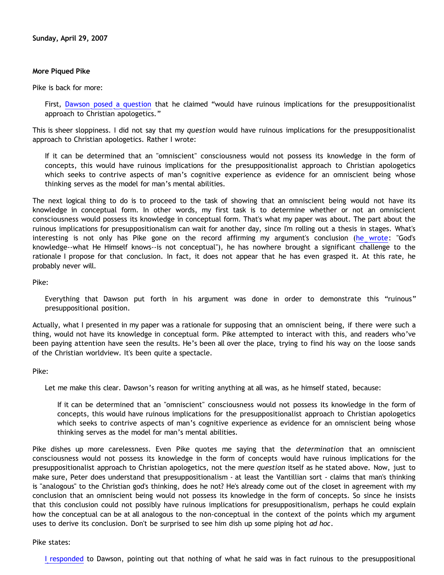## **More Piqued Pike**

Pike is back for more:

First, [Dawson posed a question](http://bahnsenburner.blogspot.com/2007/04/would-omniscient-mind-have-knowledge-in.html) that he claimed "would have ruinous implications for the presuppositionalist approach to Christian apologetics."

This is sheer sloppiness. I did not say that my *question* would have ruinous implications for the presuppositionalist approach to Christian apologetics. Rather I wrote:

If it can be determined that an "omniscient" consciousness would not possess its knowledge in the form of concepts, this would have ruinous implications for the presuppositionalist approach to Christian apologetics which seeks to contrive aspects of man's cognitive experience as evidence for an omniscient being whose thinking serves as the model for man's mental abilities.

The next logical thing to do is to proceed to the task of showing that an omniscient being would not have its knowledge in conceptual form. In other words, my first task is to determine whether or not an omniscient consciousness would possess its knowledge in conceptual form. That's what my paper was about. The part about the ruinous implications for presuppositionalism can wait for another day, since I'm rolling out a thesis in stages. What's interesting is not only has Pike gone on the record affirming my argument's conclusion ([he wrote](http://triablogue.blogspot.com/2007/04/dawsons-concepts.html): "God's knowledge--what He Himself knows--is not conceptual"), he has nowhere brought a significant challenge to the rationale I propose for that conclusion. In fact, it does not appear that he has even grasped it. At this rate, he probably never will.

Pike:

Everything that Dawson put forth in his argument was done in order to demonstrate this "ruinous" presuppositional position.

Actually, what I presented in my paper was a rationale for supposing that an omniscient being, if there were such a thing, would not have its knowledge in conceptual form. Pike attempted to interact with this, and readers who've been paying attention have seen the results. He's been all over the place, trying to find his way on the loose sands of the Christian worldview. It's been quite a spectacle.

Pike:

Let me make this clear. Dawson's reason for writing anything at all was, as he himself stated, because:

If it can be determined that an "omniscient" consciousness would not possess its knowledge in the form of concepts, this would have ruinous implications for the presuppositionalist approach to Christian apologetics which seeks to contrive aspects of man's cognitive experience as evidence for an omniscient being whose thinking serves as the model for man's mental abilities.

Pike dishes up more carelessness. Even Pike quotes me saying that the *determination* that an omniscient consciousness would not possess its knowledge in the form of concepts would have ruinous implications for the presuppositionalist approach to Christian apologetics, not the mere *question* itself as he stated above. Now, just to make sure, Peter does understand that presuppositionalism - at least the Vantillian sort - claims that man's thinking is "analogous" to the Christian god's thinking, does he not? He's already come out of the closet in agreement with my conclusion that an omniscient being would not possess its knowledge in the form of concepts. So since he insists that this conclusion could not possibly have ruinous implications for presuppositionalism, perhaps he could explain how the conceptual can be at all analogous to the non-conceptual in the context of the points which my argument uses to derive its conclusion. Don't be surprised to see him dish up some piping hot *ad hoc*.

## Pike states:

[I responded](http://triablogue.blogspot.com/2007/04/dawsons-concepts.html) to Dawson, pointing out that nothing of what he said was in fact ruinous to the presuppositional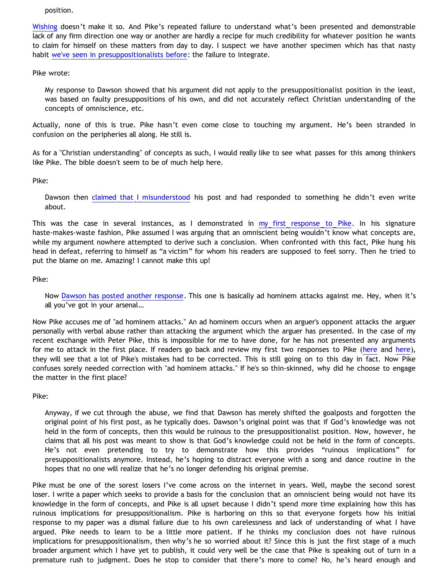position.

[Wishing](http://bahnsenburner.blogspot.com/2006/12/wishing-and-christian-deity.html) doesn't make it so. And Pike's repeated failure to understand what's been presented and demonstrable lack of any firm direction one way or another are hardly a recipe for much credibility for whatever position he wants to claim for himself on these matters from day to day. I suspect we have another specimen which has that nasty habit [we've seen in presuppositionalists before:](http://bahnsenburner.blogspot.com/2006/12/axioms-and-primacy-of-existence.html) the failure to integrate.

Pike wrote:

My response to Dawson showed that his argument did not apply to the presuppositionalist position in the least, was based on faulty presuppositions of his own, and did not accurately reflect Christian understanding of the concepts of omniscience, etc.

Actually, none of this is true. Pike hasn't even come close to touching my argument. He's been stranded in confusion on the peripheries all along. He still is.

As for a "Christian understanding" of concepts as such, I would really like to see what passes for this among thinkers like Pike. The bible doesn't seem to be of much help here.

Pike:

Dawson then [claimed that I misunderstood](http://bahnsenburner.blogspot.com/2007/04/pike-on-concepts-and-omniscience.html) his post and had responded to something he didn't even write about.

This was the case in several instances, as I demonstrated in [my first response to Pike](http://bahnsenburner.blogspot.com/2007/04/pike-on-concepts-and-omniscience.html). In his signature haste-makes-waste fashion, Pike assumed I was arguing that an omniscient being wouldn't know what concepts are, while my argument nowhere attempted to derive such a conclusion. When confronted with this fact, Pike hung his head in defeat, referring to himself as "a victim" for whom his readers are supposed to feel sorry. Then he tried to put the blame on me. Amazing! I cannot make this up!

Pike:

Now [Dawson has posted another response.](http://bahnsenburner.blogspot.com/2007/04/pikes-pique.html) This one is basically ad hominem attacks against me. Hey, when it's all you've got in your arsenal…

Now Pike accuses me of "ad hominem attacks." An ad hominem occurs when an arguer's opponent attacks the arguer personally with verbal abuse rather than attacking the argument which the arguer has presented. In the case of my recent exchange with Peter Pike, this is impossible for me to have done, for he has not presented any arguments for me to attack in the first place. If readers go back and review my first two responses to Pike [\(here](http://bahnsenburner.blogspot.com/2007/04/pike-on-concepts-and-omniscience.html) and [here\)](http://bahnsenburner.blogspot.com/2007/04/pikes-pique.html), they will see that a lot of Pike's mistakes had to be corrected. This is still going on to this day in fact. Now Pike confuses sorely needed correction with "ad hominem attacks." If he's so thin-skinned, why did he choose to engage the matter in the first place?

Pike:

Anyway, if we cut through the abuse, we find that Dawson has merely shifted the goalposts and forgotten the original point of his first post, as he typically does. Dawson's original point was that if God's knowledge was not held in the form of concepts, then this would be ruinous to the presuppositionalist position. Now, however, he claims that all his post was meant to show is that God's knowledge could not be held in the form of concepts. He's not even pretending to try to demonstrate how this provides "ruinous implications" for presuppositionalists anymore. Instead, he's hoping to distract everyone with a song and dance routine in the hopes that no one will realize that he's no longer defending his original premise.

Pike must be one of the sorest losers I've come across on the internet in years. Well, maybe the second sorest loser. I write a paper which seeks to provide a basis for the conclusion that an omniscient being would not have its knowledge in the form of concepts, and Pike is all upset because I didn't spend more time explaining how this has ruinous implications for presuppositionalism. Pike is harboring on this so that everyone forgets how his initial response to my paper was a dismal failure due to his own carelessness and lack of understanding of what I have argued. Pike needs to learn to be a little more patient. If he thinks my conclusion does not have ruinous implications for presuppositionalism, then why's he so worried about it? Since this is just the first stage of a much broader argument which I have yet to publish, it could very well be the case that Pike is speaking out of turn in a premature rush to judgment. Does he stop to consider that there's more to come? No, he's heard enough and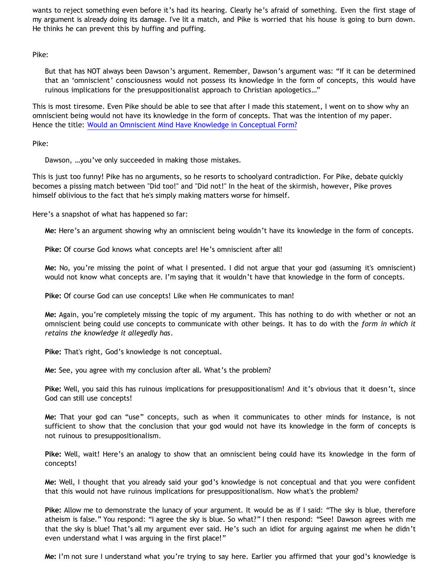wants to reject something even before it's had its hearing. Clearly he's afraid of something. Even the first stage of my argument is already doing its damage. I've lit a match, and Pike is worried that his house is going to burn down. He thinks he can prevent this by huffing and puffing.

Pike:

But that has NOT always been Dawson's argument. Remember, Dawson's argument was: "If it can be determined that an 'omniscient' consciousness would not possess its knowledge in the form of concepts, this would have ruinous implications for the presuppositionalist approach to Christian apologetics…"

This is most tiresome. Even Pike should be able to see that after I made this statement, I went on to show why an omniscient being would not have its knowledge in the form of concepts. That was the intention of my paper. Hence the title: [Would an Omniscient Mind Have Knowledge in Conceptual Form?](http://bahnsenburner.blogspot.com/2007/04/would-omniscient-mind-have-knowledge-in.html)

Pike:

Dawson, …you've only succeeded in making those mistakes.

This is just too funny! Pike has no arguments, so he resorts to schoolyard contradiction. For Pike, debate quickly becomes a pissing match between "Did too!" and "Did not!" In the heat of the skirmish, however, Pike proves himself oblivious to the fact that he's simply making matters worse for himself.

Here's a snapshot of what has happened so far:

**Me:** Here's an argument showing why an omniscient being wouldn't have its knowledge in the form of concepts.

**Pike:** Of course God knows what concepts are! He's omniscient after all!

**Me:** No, you're missing the point of what I presented. I did not argue that your god (assuming it's omniscient) would not know what concepts are. I'm saying that it wouldn't have that knowledge in the form of concepts.

**Pike:** Of course God can use concepts! Like when He communicates to man!

**Me:** Again, you're completely missing the topic of my argument. This has nothing to do with whether or not an omniscient being could use concepts to communicate with other beings. It has to do with the *form in which it retains the knowledge it allegedly has*.

**Pike:** That's right, God's knowledge is not conceptual.

**Me:** See, you agree with my conclusion after all. What's the problem?

**Pike:** Well, you said this has ruinous implications for presuppositionalism! And it's obvious that it doesn't, since God can still use concepts!

**Me:** That your god can "use" concepts, such as when it communicates to other minds for instance, is not sufficient to show that the conclusion that your god would not have its knowledge in the form of concepts is not ruinous to presuppositionalism.

**Pike:** Well, wait! Here's an analogy to show that an omniscient being could have its knowledge in the form of concepts!

**Me:** Well, I thought that you already said your god's knowledge is not conceptual and that you were confident that this would not have ruinous implications for presuppositionalism. Now what's the problem?

**Pike:** Allow me to demonstrate the lunacy of your argument. It would be as if I said: "The sky is blue, therefore atheism is false." You respond: "I agree the sky is blue. So what?" I then respond: "See! Dawson agrees with me that the sky is blue! That's all my argument ever said. He's such an idiot for arguing against me when he didn't even understand what I was arguing in the first place!"

**Me:** I'm not sure I understand what you're trying to say here. Earlier you affirmed that your god's knowledge is